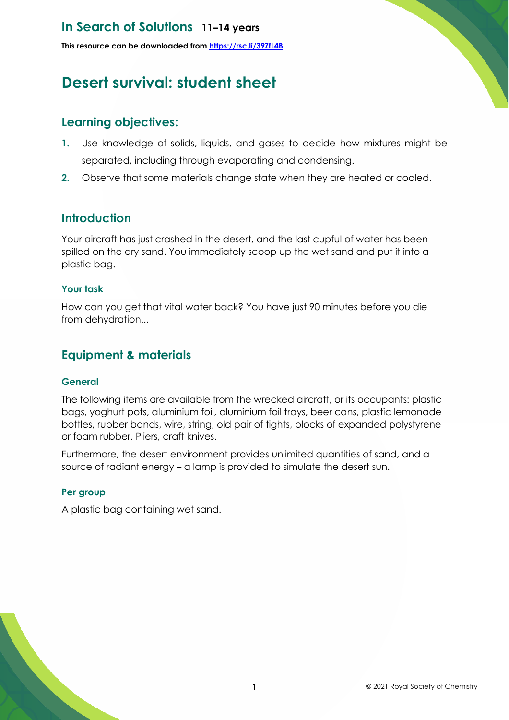# **In Search of Solutions 11–14 years**

**This resource can be downloaded from <https://rsc.li/39ZfL4B>**

# **Desert survival: student sheet**

# **Learning objectives:**

- **1.** Use knowledge of solids, liquids, and gases to decide how mixtures might be separated, including through evaporating and condensing.
- **2.** Observe that some materials change state when they are heated or cooled.

### **Introduction**

Your aircraft has just crashed in the desert, and the last cupful of water has been spilled on the dry sand. You immediately scoop up the wet sand and put it into a plastic bag.

#### **Your task**

How can you get that vital water back? You have just 90 minutes before you die from dehydration...

### **Equipment & materials**

#### **General**

The following items are available from the wrecked aircraft, or its occupants: plastic bags, yoghurt pots, aluminium foil, aluminium foil trays, beer cans, plastic lemonade bottles, rubber bands, wire, string, old pair of tights, blocks of expanded polystyrene or foam rubber. Pliers, craft knives.

Furthermore, the desert environment provides unlimited quantities of sand, and a source of radiant energy – a lamp is provided to simulate the desert sun.

#### **Per group**

A plastic bag containing wet sand.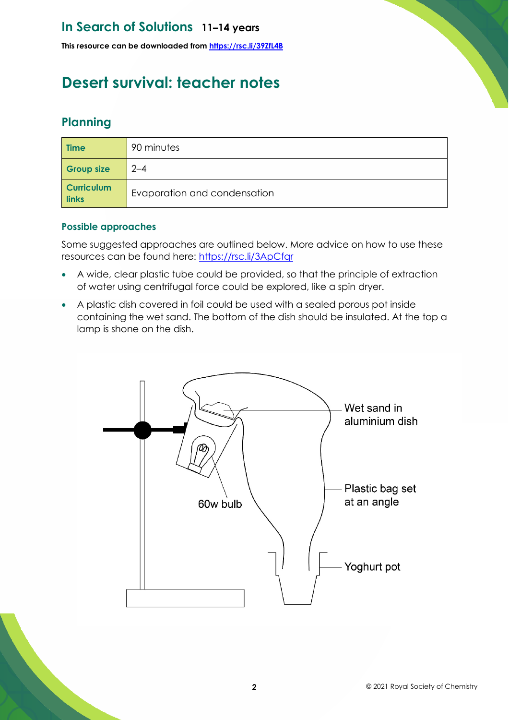# **In Search of Solutions 11–14 years**

**This resource can be downloaded from <https://rsc.li/39ZfL4B>**

# **Desert survival: teacher notes**

# **Planning**

| <b>Time</b>                | 90 minutes                   |
|----------------------------|------------------------------|
| <b>Group size</b>          | $2 - 4$                      |
| <b>Curriculum</b><br>links | Evaporation and condensation |

#### **Possible approaches**

Some suggested approaches are outlined below. More advice on how to use these resources can be found here:<https://rsc.li/3ApCfqr>

- A wide, clear plastic tube could be provided, so that the principle of extraction of water using centrifugal force could be explored, like a spin dryer.
- A plastic dish covered in foil could be used with a sealed porous pot inside containing the wet sand. The bottom of the dish should be insulated. At the top a lamp is shone on the dish.